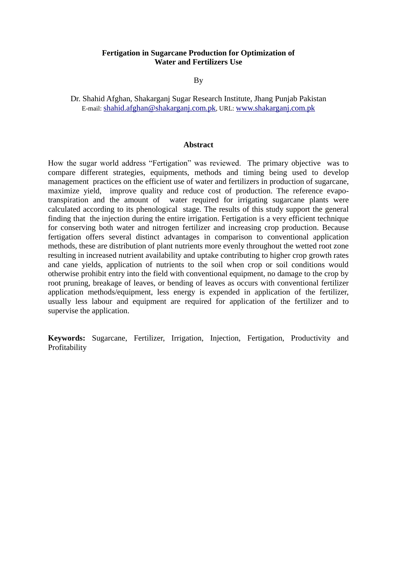#### **Fertigation in Sugarcane Production for Optimization of Water and Fertilizers Use**

By

Dr. Shahid Afghan, Shakarganj Sugar Research Institute, Jhang Punjab Pakistan E-mail: [shahid.afghan@shakarganj.com.pk](mailto:shahid.afghan@shakarganj.com.pk), URL: [www.shakarganj.com.pk](http://www.shakarganj.com.pk/)

#### **Abstract**

How the sugar world address "Fertigation" was reviewed. The primary objective was to compare different strategies, equipments, methods and timing being used to develop management practices on the efficient use of water and fertilizers in production of sugarcane, maximize yield, improve quality and reduce cost of production. The reference evapotranspiration and the amount of water required for irrigating sugarcane plants were calculated according to its phenological stage. The results of this study support the general finding that the injection during the entire irrigation. Fertigation is a very efficient technique for conserving both water and nitrogen fertilizer and increasing crop production. Because fertigation offers several distinct advantages in comparison to conventional application methods, these are distribution of plant nutrients more evenly throughout the wetted root zone resulting in increased nutrient availability and uptake contributing to higher crop growth rates and cane yields, application of nutrients to the soil when crop or soil conditions would otherwise prohibit entry into the field with conventional equipment, no damage to the crop by root pruning, breakage of leaves, or bending of leaves as occurs with conventional fertilizer application methods/equipment, less energy is expended in application of the fertilizer, usually less labour and equipment are required for application of the fertilizer and to supervise the application.

**Keywords:** Sugarcane, Fertilizer, Irrigation, Injection, Fertigation, Productivity and Profitability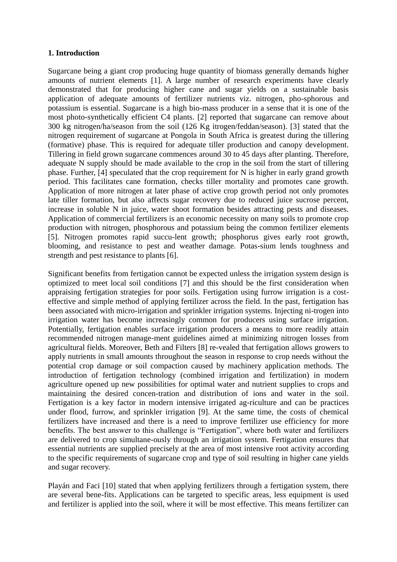## **1. Introduction**

Sugarcane being a giant crop producing huge quantity of biomass generally demands higher amounts of nutrient elements [1]. A large number of research experiments have clearly demonstrated that for producing higher cane and sugar yields on a sustainable basis application of adequate amounts of fertilizer nutrients viz. nitrogen, pho-sphorous and potassium is essential. Sugarcane is a high bio-mass producer in a sense that it is one of the most photo-synthetically efficient C4 plants. [2] reported that sugarcane can remove about 300 kg nitrogen/ha/season from the soil (126 Kg itrogen/feddan/season). [3] stated that the nitrogen requirement of sugarcane at Pongola in South Africa is greatest during the tillering (formative) phase. This is required for adequate tiller production and canopy development. Tillering in field grown sugarcane commences around 30 to 45 days after planting. Therefore, adequate N supply should be made available to the crop in the soil from the start of tillering phase. Further, [4] speculated that the crop requirement for N is higher in early grand growth period. This facilitates cane formation, checks tiller mortality and promotes cane growth. Application of more nitrogen at later phase of active crop growth period not only promotes late tiller formation, but also affects sugar recovery due to reduced juice sucrose percent, increase in soluble N in juice, water shoot formation besides attracting pests and diseases. Application of commercial fertilizers is an economic necessity on many soils to promote crop production with nitrogen, phosphorous and potassium being the common fertilizer elements [5]. Nitrogen promotes rapid succu-lent growth; phosphorus gives early root growth, blooming, and resistance to pest and weather damage. Potas-sium lends toughness and strength and pest resistance to plants [6].

Significant benefits from fertigation cannot be expected unless the irrigation system design is optimized to meet local soil conditions [7] and this should be the first consideration when appraising fertigation strategies for poor soils. Fertigation using furrow irrigation is a costeffective and simple method of applying fertilizer across the field. In the past, fertigation has been associated with micro-irrigation and sprinkler irrigation systems. Injecting ni-trogen into irrigation water has become increasingly common for producers using surface irrigation. Potentially, fertigation enables surface irrigation producers a means to more readily attain recommended nitrogen manage-ment guidelines aimed at minimizing nitrogen losses from agricultural fields. Moreover, Beth and Filters [8] re-vealed that fertigation allows growers to apply nutrients in small amounts throughout the season in response to crop needs without the potential crop damage or soil compaction caused by machinery application methods. The introduction of fertigation technology (combined irrigation and fertilization) in modern agriculture opened up new possibilities for optimal water and nutrient supplies to crops and maintaining the desired concen-tration and distribution of ions and water in the soil. Fertigation is a key factor in modern intensive irrigated ag-riculture and can be practices under flood, furrow, and sprinkler irrigation [9]. At the same time, the costs of chemical fertilizers have increased and there is a need to improve fertilizer use efficiency for more benefits. The best answer to this challenge is "Fertigation", where both water and fertilizers are delivered to crop simultane-ously through an irrigation system. Fertigation ensures that essential nutrients are supplied precisely at the area of most intensive root activity according to the specific requirements of sugarcane crop and type of soil resulting in higher cane yields and sugar recovery.

Playán and Faci [10] stated that when applying fertilizers through a fertigation system, there are several bene-fits. Applications can be targeted to specific areas, less equipment is used and fertilizer is applied into the soil, where it will be most effective. This means fertilizer can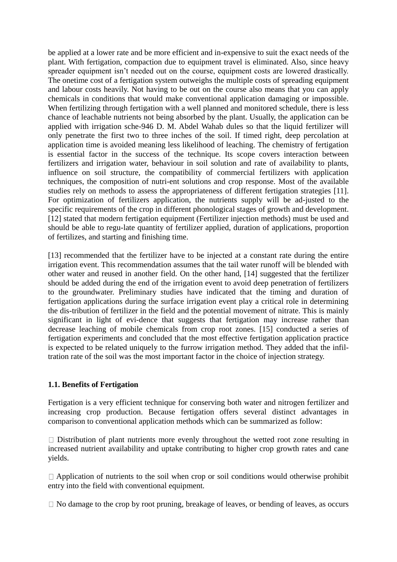be applied at a lower rate and be more efficient and in-expensive to suit the exact needs of the plant. With fertigation, compaction due to equipment travel is eliminated. Also, since heavy spreader equipment isn't needed out on the course, equipment costs are lowered drastically. The onetime cost of a fertigation system outweighs the multiple costs of spreading equipment and labour costs heavily. Not having to be out on the course also means that you can apply chemicals in conditions that would make conventional application damaging or impossible. When fertilizing through fertigation with a well planned and monitored schedule, there is less chance of leachable nutrients not being absorbed by the plant. Usually, the application can be applied with irrigation sche-946 D. M. Abdel Wahab dules so that the liquid fertilizer will only penetrate the first two to three inches of the soil. If timed right, deep percolation at application time is avoided meaning less likelihood of leaching. The chemistry of fertigation is essential factor in the success of the technique. Its scope covers interaction between fertilizers and irrigation water, behaviour in soil solution and rate of availability to plants, influence on soil structure, the compatibility of commercial fertilizers with application techniques, the composition of nutri-ent solutions and crop response. Most of the available studies rely on methods to assess the appropriateness of different fertigation strategies [11]. For optimization of fertilizers application, the nutrients supply will be ad-justed to the specific requirements of the crop in different phonological stages of growth and development. [12] stated that modern fertigation equipment (Fertilizer injection methods) must be used and should be able to regu-late quantity of fertilizer applied, duration of applications, proportion of fertilizes, and starting and finishing time.

[13] recommended that the fertilizer have to be injected at a constant rate during the entire irrigation event. This recommendation assumes that the tail water runoff will be blended with other water and reused in another field. On the other hand, [14] suggested that the fertilizer should be added during the end of the irrigation event to avoid deep penetration of fertilizers to the groundwater. Preliminary studies have indicated that the timing and duration of fertigation applications during the surface irrigation event play a critical role in determining the dis-tribution of fertilizer in the field and the potential movement of nitrate. This is mainly significant in light of evi-dence that suggests that fertigation may increase rather than decrease leaching of mobile chemicals from crop root zones. [15] conducted a series of fertigation experiments and concluded that the most effective fertigation application practice is expected to be related uniquely to the furrow irrigation method. They added that the infiltration rate of the soil was the most important factor in the choice of injection strategy.

# **1.1. Benefits of Fertigation**

Fertigation is a very efficient technique for conserving both water and nitrogen fertilizer and increasing crop production. Because fertigation offers several distinct advantages in comparison to conventional application methods which can be summarized as follow:

 $\Box$  Distribution of plant nutrients more evenly throughout the wetted root zone resulting in increased nutrient availability and uptake contributing to higher crop growth rates and cane yields.

 $\Box$  Application of nutrients to the soil when crop or soil conditions would otherwise prohibit entry into the field with conventional equipment.

 $\Box$  No damage to the crop by root pruning, breakage of leaves, or bending of leaves, as occurs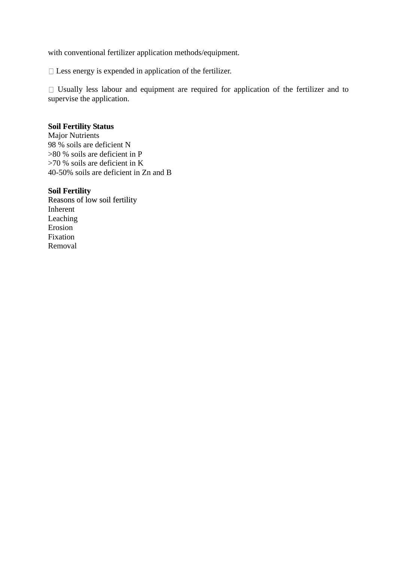with conventional fertilizer application methods/equipment.

 $\Box$  Less energy is expended in application of the fertilizer.

 $\Box$  Usually less labour and equipment are required for application of the fertilizer and to supervise the application.

## **Soil Fertility Status**

Major Nutrients 98 % soils are deficient N >80 % soils are deficient in P >70 % soils are deficient in K 40-50% soils are deficient in Zn and B

# **Soil Fertility**

Reasons of low soil fertility Inherent Leaching Erosion Fixation Removal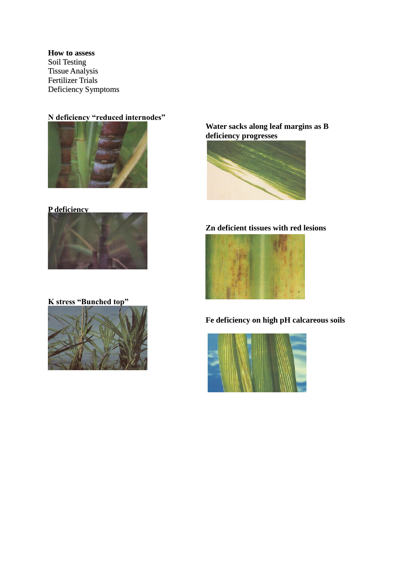#### **How to assess**

Soil Testing Tissue Analysis Fertilizer Trials Deficiency Symptoms

# **N deficiency "reduced internodes"**



# **P deficiency**



**K stress "Bunched top"**



**Water sacks along leaf margins as B deficiency progresses**



# **Zn deficient tissues with red lesions**



**Fe deficiency on high pH calcareous soils**

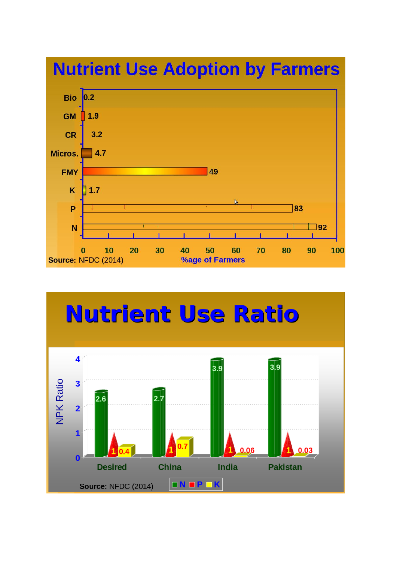

# **Nutrient Use Ratio**

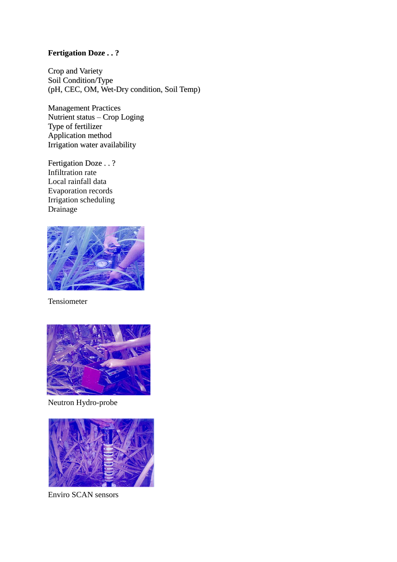# **Fertigation Doze . . ?**

Crop and Variety Soil Condition/Type (pH, CEC, OM, Wet-Dry condition, Soil Temp)

Management Practices Nutrient status – Crop Loging Type of fertilizer Application method Irrigation water availability

Fertigation Doze . . ? Infiltration rate Local rainfall data Evaporation records Irrigation scheduling Drainage



Tensiometer



Neutron Hydro-probe



Enviro SCAN sensors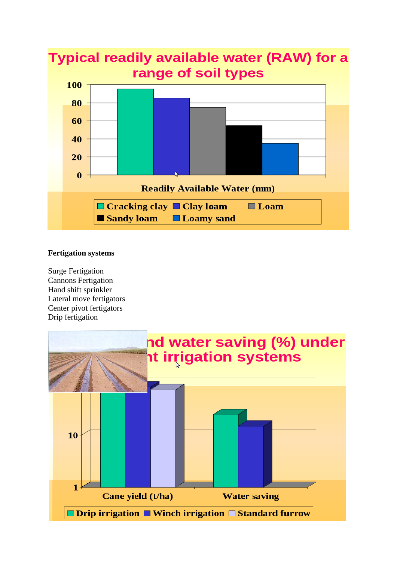

### **Fertigation systems**

Surge Fertigation Cannons Fertigation Hand shift sprinkler Lateral move fertigators Center pivot fertigators Drip fertigation

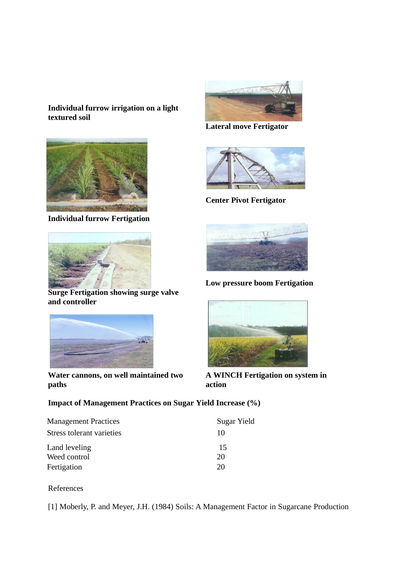# **Individual furrow irrigation on a light textured soil**



**Individual furrow Fertigation**



**Surge Fertigation showing surge valve and controller**



**Water cannons, on well maintained two paths**



**Lateral move Fertigator**



**Center Pivot Fertigator**



**Low pressure boom Fertigation**



**A WINCH Fertigation on system in action**

# **Impact of Management Practices on Sugar Yield Increase (%)**

| <b>Management Practices</b> | Sugar Yield |
|-----------------------------|-------------|
| Stress tolerant varieties   | 10          |
| Land leveling               | 15          |
| Weed control                | 20          |
| Fertigation                 | 20          |

References

[1] Moberly, P. and Meyer, J.H. (1984) Soils: A Management Factor in Sugarcane Production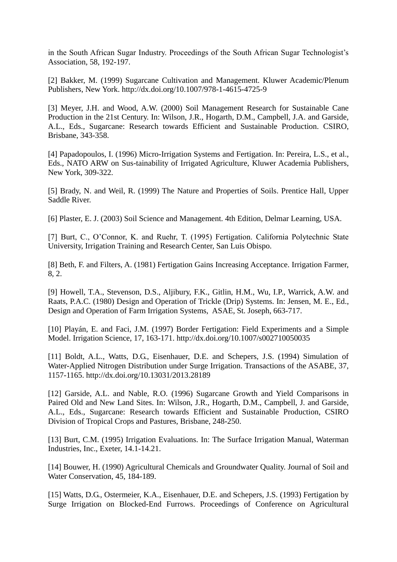in the South African Sugar Industry. Proceedings of the South African Sugar Technologist's Association, 58, 192-197.

[2] Bakker, M. (1999) Sugarcane Cultivation and Management. Kluwer Academic/Plenum Publishers, New York. http://dx.doi.org/10.1007/978-1-4615-4725-9

[3] Meyer, J.H. and Wood, A.W. (2000) Soil Management Research for Sustainable Cane Production in the 21st Century. In: Wilson, J.R., Hogarth, D.M., Campbell, J.A. and Garside, A.L., Eds., Sugarcane: Research towards Efficient and Sustainable Production. CSIRO, Brisbane, 343-358.

[4] Papadopoulos, I. (1996) Micro-Irrigation Systems and Fertigation. In: Pereira, L.S., et al., Eds., NATO ARW on Sus-tainability of Irrigated Agriculture, Kluwer Academia Publishers, New York, 309-322.

[5] Brady, N. and Weil, R. (1999) The Nature and Properties of Soils. Prentice Hall, Upper Saddle River.

[6] Plaster, E. J. (2003) Soil Science and Management. 4th Edition, Delmar Learning, USA.

[7] Burt, C., O'Connor, K. and Ruehr, T. (1995) Fertigation. California Polytechnic State University, Irrigation Training and Research Center, San Luis Obispo.

[8] Beth, F. and Filters, A. (1981) Fertigation Gains Increasing Acceptance. Irrigation Farmer, 8, 2.

[9] Howell, T.A., Stevenson, D.S., Aljibury, F.K., Gitlin, H.M., Wu, I.P., Warrick, A.W. and Raats, P.A.C. (1980) Design and Operation of Trickle (Drip) Systems. In: Jensen, M. E., Ed., Design and Operation of Farm Irrigation Systems, ASAE, St. Joseph, 663-717.

[10] Playán, E. and Faci, J.M. (1997) Border Fertigation: Field Experiments and a Simple Model. Irrigation Science, 17, 163-171. http://dx.doi.org/10.1007/s002710050035

[11] Boldt, A.L., Watts, D.G., Eisenhauer, D.E. and Schepers, J.S. (1994) Simulation of Water-Applied Nitrogen Distribution under Surge Irrigation. Transactions of the ASABE, 37, 1157-1165. http://dx.doi.org/10.13031/2013.28189

[12] Garside, A.L. and Nable, R.O. (1996) Sugarcane Growth and Yield Comparisons in Paired Old and New Land Sites. In: Wilson, J.R., Hogarth, D.M., Campbell, J. and Garside, A.L., Eds., Sugarcane: Research towards Efficient and Sustainable Production, CSIRO Division of Tropical Crops and Pastures, Brisbane, 248-250.

[13] Burt, C.M. (1995) Irrigation Evaluations. In: The Surface Irrigation Manual, Waterman Industries, Inc., Exeter, 14.1-14.21.

[14] Bouwer, H. (1990) Agricultural Chemicals and Groundwater Quality. Journal of Soil and Water Conservation, 45, 184-189.

[15] Watts, D.G., Ostermeier, K.A., Eisenhauer, D.E. and Schepers, J.S. (1993) Fertigation by Surge Irrigation on Blocked-End Furrows. Proceedings of Conference on Agricultural